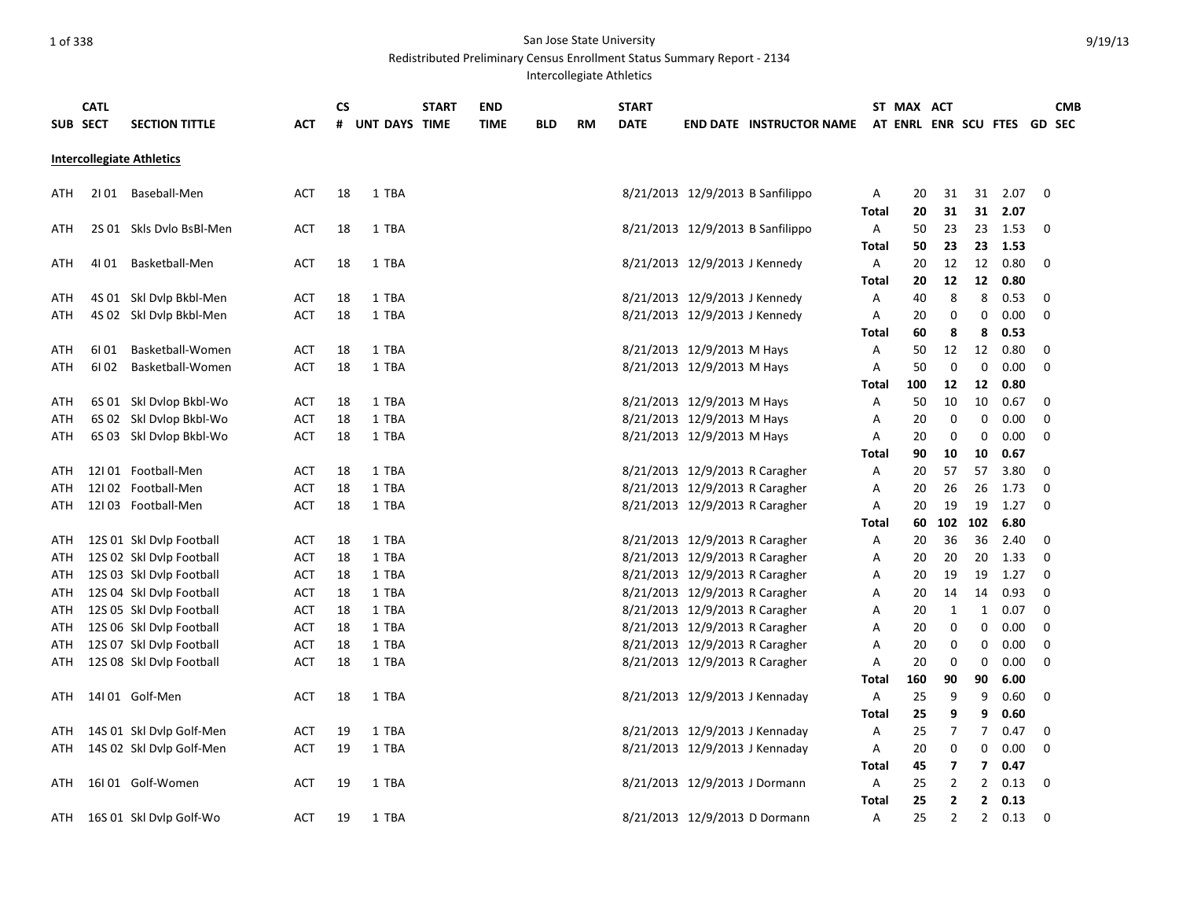|     | <b>CATL</b> |                                  |            | CS |               | <b>START</b> | <b>END</b>  |            |           | <b>START</b> |                                |                                  |              | ST MAX ACT           |                |                         |      |             | <b>CMB</b>    |
|-----|-------------|----------------------------------|------------|----|---------------|--------------|-------------|------------|-----------|--------------|--------------------------------|----------------------------------|--------------|----------------------|----------------|-------------------------|------|-------------|---------------|
|     | SUB SECT    | <b>SECTION TITTLE</b>            | ACT        | #  | UNT DAYS TIME |              | <b>TIME</b> | <b>BLD</b> | <b>RM</b> | <b>DATE</b>  |                                | <b>END DATE INSTRUCTOR NAME</b>  |              | AT ENRL ENR SCU FTES |                |                         |      |             | <b>GD SEC</b> |
|     |             | <b>Intercollegiate Athletics</b> |            |    |               |              |             |            |           |              |                                |                                  |              |                      |                |                         |      |             |               |
| ATH |             | 2101 Baseball-Men                | <b>ACT</b> | 18 | 1 TBA         |              |             |            |           |              |                                | 8/21/2013 12/9/2013 B Sanfilippo | A            | 20                   | 31             | 31                      | 2.07 | 0           |               |
|     |             |                                  |            |    |               |              |             |            |           |              |                                |                                  | Total        | 20                   | 31             | 31                      | 2.07 |             |               |
| ATH |             | 2S 01 Skls Dvlo BsBl-Men         | <b>ACT</b> | 18 | 1 TBA         |              |             |            |           |              |                                | 8/21/2013 12/9/2013 B Sanfilippo | A            | 50                   | 23             | 23                      | 1.53 | 0           |               |
|     |             |                                  |            |    |               |              |             |            |           |              |                                |                                  | Total        | 50                   | 23             | 23                      | 1.53 |             |               |
| ATH |             | 4101 Basketball-Men              | <b>ACT</b> | 18 | 1 TBA         |              |             |            |           |              | 8/21/2013 12/9/2013 J Kennedy  |                                  | A            | 20                   | 12             | 12                      | 0.80 | $\Omega$    |               |
|     |             |                                  |            |    |               |              |             |            |           |              |                                |                                  | Total        | 20                   | 12             | 12                      | 0.80 |             |               |
| ATH |             | 4S 01 Skl Dvlp Bkbl-Men          | ACT        | 18 | 1 TBA         |              |             |            |           |              | 8/21/2013 12/9/2013 J Kennedy  |                                  | Α            | 40                   | 8              | 8                       | 0.53 | $\mathbf 0$ |               |
| ATH |             | 4S 02 Skl Dvlp Bkbl-Men          | <b>ACT</b> | 18 | 1 TBA         |              |             |            |           |              | 8/21/2013 12/9/2013 J Kennedy  |                                  | Α            | 20                   | 0              | 0                       | 0.00 | $\mathbf 0$ |               |
|     |             |                                  |            |    |               |              |             |            |           |              |                                |                                  | <b>Total</b> | 60                   | 8              | 8                       | 0.53 |             |               |
| ATH | 6101        | Basketball-Women                 | ACT        | 18 | 1 TBA         |              |             |            |           |              | 8/21/2013 12/9/2013 M Hays     |                                  | Α            | 50                   | 12             | 12                      | 0.80 | 0           |               |
| ATH | 6102        | Basketball-Women                 | <b>ACT</b> | 18 | 1 TBA         |              |             |            |           |              | 8/21/2013 12/9/2013 M Hays     |                                  | Α            | 50                   | 0              | $\mathbf 0$             | 0.00 | 0           |               |
|     |             |                                  |            |    |               |              |             |            |           |              |                                |                                  | Total        | 100                  | 12             | 12                      | 0.80 |             |               |
| ATH |             | 6S 01 Skl Dvlop Bkbl-Wo          | ACT        | 18 | 1 TBA         |              |             |            |           |              | 8/21/2013 12/9/2013 M Hays     |                                  | Α            | 50                   | 10             | 10                      | 0.67 | 0           |               |
| ATH |             | 6S 02 Skl Dvlop Bkbl-Wo          | <b>ACT</b> | 18 | 1 TBA         |              |             |            |           |              | 8/21/2013 12/9/2013 M Hays     |                                  | A            | 20                   | 0              | 0                       | 0.00 | 0           |               |
| ATH |             | 6S 03 Skl Dvlop Bkbl-Wo          | <b>ACT</b> | 18 | 1 TBA         |              |             |            |           |              | 8/21/2013 12/9/2013 M Hays     |                                  | Α            | 20                   | 0              | 0                       | 0.00 | $\mathbf 0$ |               |
|     |             |                                  |            |    |               |              |             |            |           |              |                                |                                  | Total        | 90                   | 10             | 10                      | 0.67 |             |               |
| ATH |             | 12101 Football-Men               | ACT        | 18 | 1 TBA         |              |             |            |           |              | 8/21/2013 12/9/2013 R Caragher |                                  | Α            | 20                   | 57             | 57                      | 3.80 | 0           |               |
| ATH |             | 12102 Football-Men               | <b>ACT</b> | 18 | 1 TBA         |              |             |            |           |              | 8/21/2013 12/9/2013 R Caragher |                                  | Α            | 20                   | 26             | 26                      | 1.73 | 0           |               |
| ATH |             | 12103 Football-Men               | <b>ACT</b> | 18 | 1 TBA         |              |             |            |           |              | 8/21/2013 12/9/2013 R Caragher |                                  | Α            | 20                   | 19             | 19                      | 1.27 | 0           |               |
|     |             |                                  |            |    |               |              |             |            |           |              |                                |                                  | <b>Total</b> | 60                   | 102            | 102                     | 6.80 |             |               |
| ATH |             | 12S 01 Skl Dvlp Football         | ACT        | 18 | 1 TBA         |              |             |            |           |              | 8/21/2013 12/9/2013 R Caragher |                                  | Α            | 20                   | 36             | 36                      | 2.40 | 0           |               |
| ATH |             | 12S 02 Skl Dvlp Football         | <b>ACT</b> | 18 | 1 TBA         |              |             |            |           |              | 8/21/2013 12/9/2013 R Caragher |                                  | Α            | 20                   | 20             | 20                      | 1.33 | 0           |               |
| ATH |             | 12S 03 Skl Dvlp Football         | ACT        | 18 | 1 TBA         |              |             |            |           |              | 8/21/2013 12/9/2013 R Caragher |                                  | A            | 20                   | 19             | 19                      | 1.27 | 0           |               |
| ATH |             | 12S 04 Skl Dvlp Football         | ACT        | 18 | 1 TBA         |              |             |            |           |              | 8/21/2013 12/9/2013 R Caragher |                                  | Α            | 20                   | 14             | 14                      | 0.93 | 0           |               |
| ATH |             | 12S 05 Skl Dvlp Football         | <b>ACT</b> | 18 | 1 TBA         |              |             |            |           |              | 8/21/2013 12/9/2013 R Caragher |                                  | A            | 20                   | 1              | $\mathbf{1}$            | 0.07 | $\mathbf 0$ |               |
| ATH |             | 12S 06 Skl Dvlp Football         | <b>ACT</b> | 18 | 1 TBA         |              |             |            |           |              | 8/21/2013 12/9/2013 R Caragher |                                  | Α            | 20                   | 0              | 0                       | 0.00 | 0           |               |
| ATH |             | 12S 07 Skl Dvlp Football         | ACT        | 18 | 1 TBA         |              |             |            |           |              | 8/21/2013 12/9/2013 R Caragher |                                  | Α            | 20                   | 0              | 0                       | 0.00 | 0           |               |
| ATH |             | 12S 08 Skl Dvlp Football         | <b>ACT</b> | 18 | 1 TBA         |              |             |            |           |              | 8/21/2013 12/9/2013 R Caragher |                                  | A            | 20                   | 0              | $\mathbf 0$             | 0.00 | $\mathbf 0$ |               |
|     |             |                                  |            |    |               |              |             |            |           |              |                                |                                  | Total        | 160                  | 90             | 90                      | 6.00 |             |               |
| ATH |             | 14I 01 Golf-Men                  | ACT        | 18 | 1 TBA         |              |             |            |           |              | 8/21/2013 12/9/2013 J Kennaday |                                  | Α            | 25                   | 9              | 9                       | 0.60 | 0           |               |
|     |             |                                  |            |    |               |              |             |            |           |              |                                |                                  | Total        | 25                   | 9              | 9                       | 0.60 |             |               |
| ATH |             | 14S 01 Skl Dvlp Golf-Men         | ACT        | 19 | 1 TBA         |              |             |            |           |              | 8/21/2013 12/9/2013 J Kennaday |                                  | Α            | 25                   | 7              | 7                       | 0.47 | 0           |               |
| ATH |             | 14S 02 Skl Dvlp Golf-Men         | <b>ACT</b> | 19 | 1 TBA         |              |             |            |           |              | 8/21/2013 12/9/2013 J Kennaday |                                  | Α            | 20                   | 0              | 0                       | 0.00 | $\mathbf 0$ |               |
|     |             |                                  |            |    |               |              |             |            |           |              |                                |                                  | <b>Total</b> | 45                   | 7              | $\overline{\mathbf{z}}$ | 0.47 |             |               |
| ATH |             | 16I01 Golf-Women                 | ACT        | 19 | 1 TBA         |              |             |            |           |              | 8/21/2013 12/9/2013 J Dormann  |                                  | Α            | 25                   | $\overline{2}$ | $\overline{2}$          | 0.13 | 0           |               |
|     |             |                                  |            |    |               |              |             |            |           |              |                                |                                  | Total        | 25                   | 2              | $\mathbf{z}$            | 0.13 |             |               |
| ATH |             | 16S 01 Skl Dvlp Golf-Wo          | <b>ACT</b> | 19 | 1 TBA         |              |             |            |           |              | 8/21/2013 12/9/2013 D Dormann  |                                  | A            | 25                   | $\overline{2}$ | $\overline{2}$          | 0.13 | $\mathbf 0$ |               |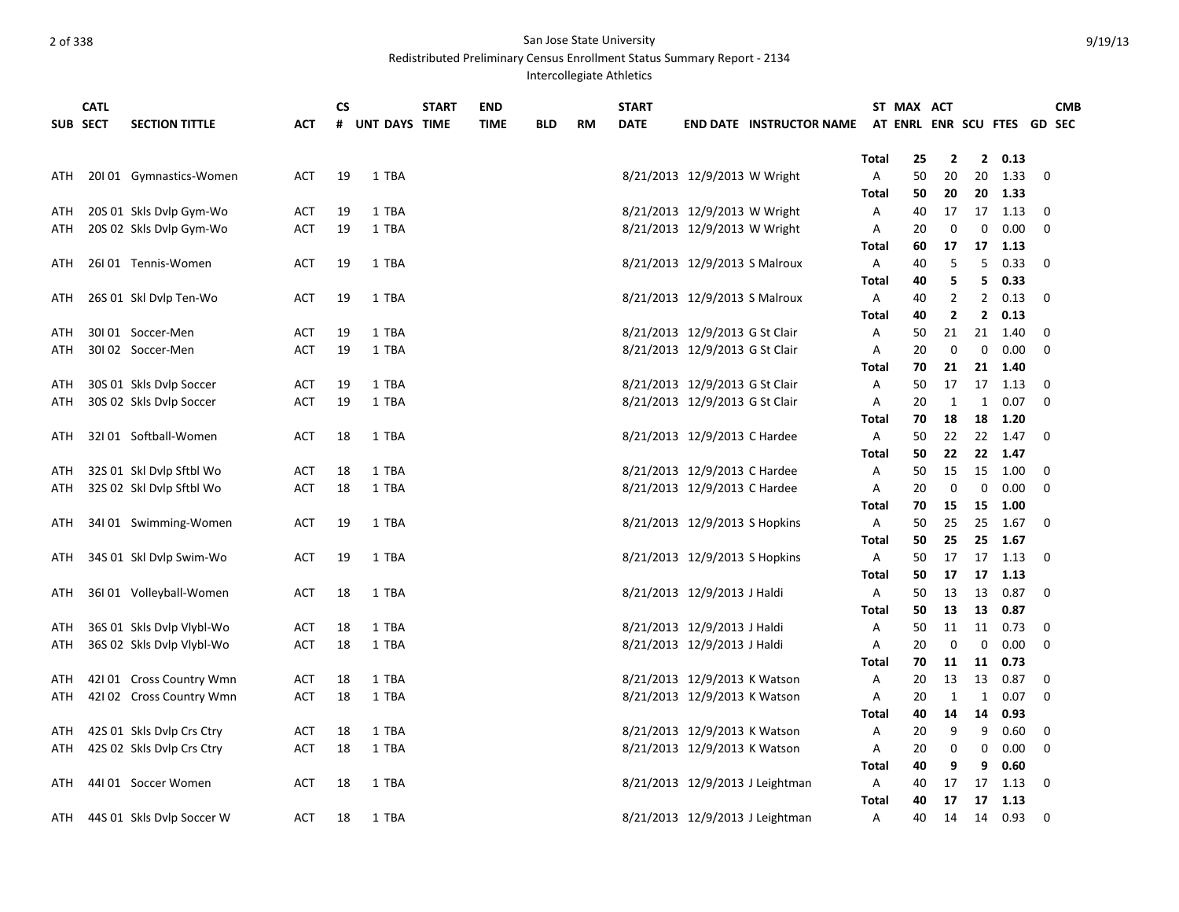|     | <b>CATL</b> |                           |            | <b>CS</b> |               | <b>START</b> | <b>END</b>  |     |           | <b>START</b> |                                |                                 |              | ST MAX ACT                  |                |             |              |             | <b>CMB</b> |
|-----|-------------|---------------------------|------------|-----------|---------------|--------------|-------------|-----|-----------|--------------|--------------------------------|---------------------------------|--------------|-----------------------------|----------------|-------------|--------------|-------------|------------|
|     | SUB SECT    | <b>SECTION TITTLE</b>     | <b>ACT</b> | #         | UNT DAYS TIME |              | <b>TIME</b> | BLD | <b>RM</b> | <b>DATE</b>  |                                | <b>END DATE INSTRUCTOR NAME</b> |              | AT ENRL ENR SCU FTES GD SEC |                |             |              |             |            |
|     |             |                           |            |           |               |              |             |     |           |              |                                |                                 |              |                             |                |             |              |             |            |
|     |             |                           |            |           |               |              |             |     |           |              |                                |                                 | Total        | 25                          | $\overline{2}$ |             | 20.13        |             |            |
| ATH |             | 20101 Gymnastics-Women    | <b>ACT</b> | 19        | 1 TBA         |              |             |     |           |              | 8/21/2013 12/9/2013 W Wright   |                                 | Α            | 50                          | 20             | 20          | 1.33         | 0           |            |
|     |             |                           |            |           |               |              |             |     |           |              |                                |                                 | Total        | 50                          | 20             | 20          | 1.33         |             |            |
| ATH |             | 20S 01 Skls Dvlp Gym-Wo   | ACT        | 19        | 1 TBA         |              |             |     |           |              | 8/21/2013 12/9/2013 W Wright   |                                 | Α            | 40                          | 17             | 17          | 1.13         | 0           |            |
| ATH |             | 20S 02 Skls Dvlp Gym-Wo   | <b>ACT</b> | 19        | 1 TBA         |              |             |     |           |              | 8/21/2013 12/9/2013 W Wright   |                                 | Α            | 20                          | 0              | 0           | 0.00         | $\mathbf 0$ |            |
|     |             |                           |            |           |               |              |             |     |           |              |                                |                                 | Total        | 60                          | 17             | 17          | - 1.13       |             |            |
| ATH |             | 26101 Tennis-Women        | ACT        | 19        | 1 TBA         |              |             |     |           |              | 8/21/2013 12/9/2013 S Malroux  |                                 | Α            | 40                          | 5              | 5           | 0.33         | 0           |            |
|     |             |                           |            |           |               |              |             |     |           |              |                                |                                 | <b>Total</b> | 40                          | 5              | 5           | 0.33         |             |            |
| ATH |             | 26S 01 Skl Dvlp Ten-Wo    | ACT        | 19        | 1 TBA         |              |             |     |           |              | 8/21/2013 12/9/2013 S Malroux  |                                 | Α            | 40                          | $\overline{2}$ | 2           | 0.13         | $\mathbf 0$ |            |
|     |             |                           |            |           |               |              |             |     |           |              |                                |                                 | Total        | 40                          | $\overline{2}$ | 2           | 0.13         |             |            |
| ATH |             | 30I01 Soccer-Men          | ACT        | 19        | 1 TBA         |              |             |     |           |              | 8/21/2013 12/9/2013 G St Clair |                                 | Α            | 50                          | 21             | 21          | 1.40         | 0           |            |
| ATH |             | 30102 Soccer-Men          | <b>ACT</b> | 19        | 1 TBA         |              |             |     |           |              | 8/21/2013 12/9/2013 G St Clair |                                 | A            | 20                          | $\mathbf 0$    | 0           | 0.00         | 0           |            |
|     |             |                           |            |           |               |              |             |     |           |              |                                |                                 | Total        | 70                          | 21             | 21          | 1.40         |             |            |
| ATH |             | 30S 01 Skls Dvlp Soccer   | <b>ACT</b> | 19        | 1 TBA         |              |             |     |           |              | 8/21/2013 12/9/2013 G St Clair |                                 | Α            | 50                          | 17             | 17          | 1.13         | 0           |            |
| ATH |             | 30S 02 Skls Dvlp Soccer   | <b>ACT</b> | 19        | 1 TBA         |              |             |     |           |              | 8/21/2013 12/9/2013 G St Clair |                                 | Α            | 20                          | 1              | 1           | 0.07         | $\Omega$    |            |
|     |             |                           |            |           |               |              |             |     |           |              |                                |                                 | Total        | 70                          | 18             | 18          | 1.20         |             |            |
| ATH |             | 32I 01 Softball-Women     | <b>ACT</b> | 18        | 1 TBA         |              |             |     |           |              | 8/21/2013 12/9/2013 C Hardee   |                                 | A            | 50                          | 22             | 22          | 1.47         | 0           |            |
|     |             |                           |            |           |               |              |             |     |           |              |                                |                                 | Total        | 50                          | 22             | 22          | 1.47         |             |            |
| ATH |             | 32S 01 Skl Dvlp Sftbl Wo  | ACT        | 18        | 1 TBA         |              |             |     |           |              | 8/21/2013 12/9/2013 C Hardee   |                                 | Α            | 50                          | 15             | 15          | 1.00         | 0           |            |
| ATH |             | 32S 02 Skl Dvlp Sftbl Wo  | ACT        | 18        | 1 TBA         |              |             |     |           |              | 8/21/2013 12/9/2013 C Hardee   |                                 | Α            | 20                          | 0              | 0           | 0.00         | $\Omega$    |            |
|     |             |                           |            |           |               |              |             |     |           |              |                                |                                 | Total        | 70                          | 15             | 15          | 1.00         |             |            |
| ATH |             | 34101 Swimming-Women      | <b>ACT</b> | 19        | 1 TBA         |              |             |     |           |              | 8/21/2013 12/9/2013 S Hopkins  |                                 | Α            | 50                          | 25             | 25          | 1.67         | $\mathbf 0$ |            |
|     |             |                           |            |           |               |              |             |     |           |              |                                |                                 | Total        | 50                          | 25             | 25          | 1.67         |             |            |
| ATH |             | 34S 01 Skl Dvlp Swim-Wo   | ACT        | 19        | 1 TBA         |              |             |     |           |              | 8/21/2013 12/9/2013 S Hopkins  |                                 | Α            | 50                          | 17             | 17<br>17    | 1.13<br>1.13 | 0           |            |
|     |             |                           |            |           | 1 TBA         |              |             |     |           |              | 8/21/2013 12/9/2013 J Haldi    |                                 | Total<br>A   | 50                          | 17             | 13          | 0.87         | $\mathbf 0$ |            |
| ATH |             | 36I 01 Volleyball-Women   | ACT        | 18        |               |              |             |     |           |              |                                |                                 | Total        | 50<br>50                    | 13<br>13       | 13          | 0.87         |             |            |
| ATH |             | 36S 01 Skls Dvlp Vlybl-Wo | <b>ACT</b> | 18        | 1 TBA         |              |             |     |           |              | 8/21/2013 12/9/2013 J Haldi    |                                 | Α            | 50                          | 11             | 11          | 0.73         | 0           |            |
| ATH |             | 36S 02 Skls Dvlp Vlybl-Wo | <b>ACT</b> | 18        | 1 TBA         |              |             |     |           |              | 8/21/2013 12/9/2013 J Haldi    |                                 | Α            | 20                          | 0              | $\mathbf 0$ | 0.00         | $\Omega$    |            |
|     |             |                           |            |           |               |              |             |     |           |              |                                |                                 | Total        | 70                          | 11             | 11          | 0.73         |             |            |
| ATH |             | 42101 Cross Country Wmn   | ACT        | 18        | 1 TBA         |              |             |     |           |              | 8/21/2013 12/9/2013 K Watson   |                                 | Α            | 20                          | 13             | 13          | 0.87         | 0           |            |
| ATH |             | 42102 Cross Country Wmn   | <b>ACT</b> | 18        | 1 TBA         |              |             |     |           |              | 8/21/2013 12/9/2013 K Watson   |                                 | Α            | 20                          | 1              | 1           | 0.07         | 0           |            |
|     |             |                           |            |           |               |              |             |     |           |              |                                |                                 | Total        | 40                          | 14             | 14          | 0.93         |             |            |
| ATH |             | 42S 01 Skls Dvlp Crs Ctry | <b>ACT</b> | 18        | 1 TBA         |              |             |     |           |              | 8/21/2013 12/9/2013 K Watson   |                                 | Α            | 20                          | 9              | 9           | 0.60         | 0           |            |
| ATH |             | 42S 02 Skls Dvlp Crs Ctry | <b>ACT</b> | 18        | 1 TBA         |              |             |     |           |              | 8/21/2013 12/9/2013 K Watson   |                                 | A            | 20                          | 0              | 0           | 0.00         | $\mathbf 0$ |            |
|     |             |                           |            |           |               |              |             |     |           |              |                                |                                 | Total        | 40                          | 9              | 9           | 0.60         |             |            |
| ATH |             | 44I 01 Soccer Women       | <b>ACT</b> | 18        | 1 TBA         |              |             |     |           |              |                                | 8/21/2013 12/9/2013 J Leightman | Α            | 40                          | 17             | 17          | 1.13         | 0           |            |
|     |             |                           |            |           |               |              |             |     |           |              |                                |                                 | Total        | 40                          | 17             | 17          | 1.13         |             |            |
| ATH |             | 44S 01 Skls Dvlp Soccer W | <b>ACT</b> | 18        | 1 TBA         |              |             |     |           |              |                                | 8/21/2013 12/9/2013 J Leightman | Α            | 40                          | 14             | 14          | 0.93         | $\mathbf 0$ |            |
|     |             |                           |            |           |               |              |             |     |           |              |                                |                                 |              |                             |                |             |              |             |            |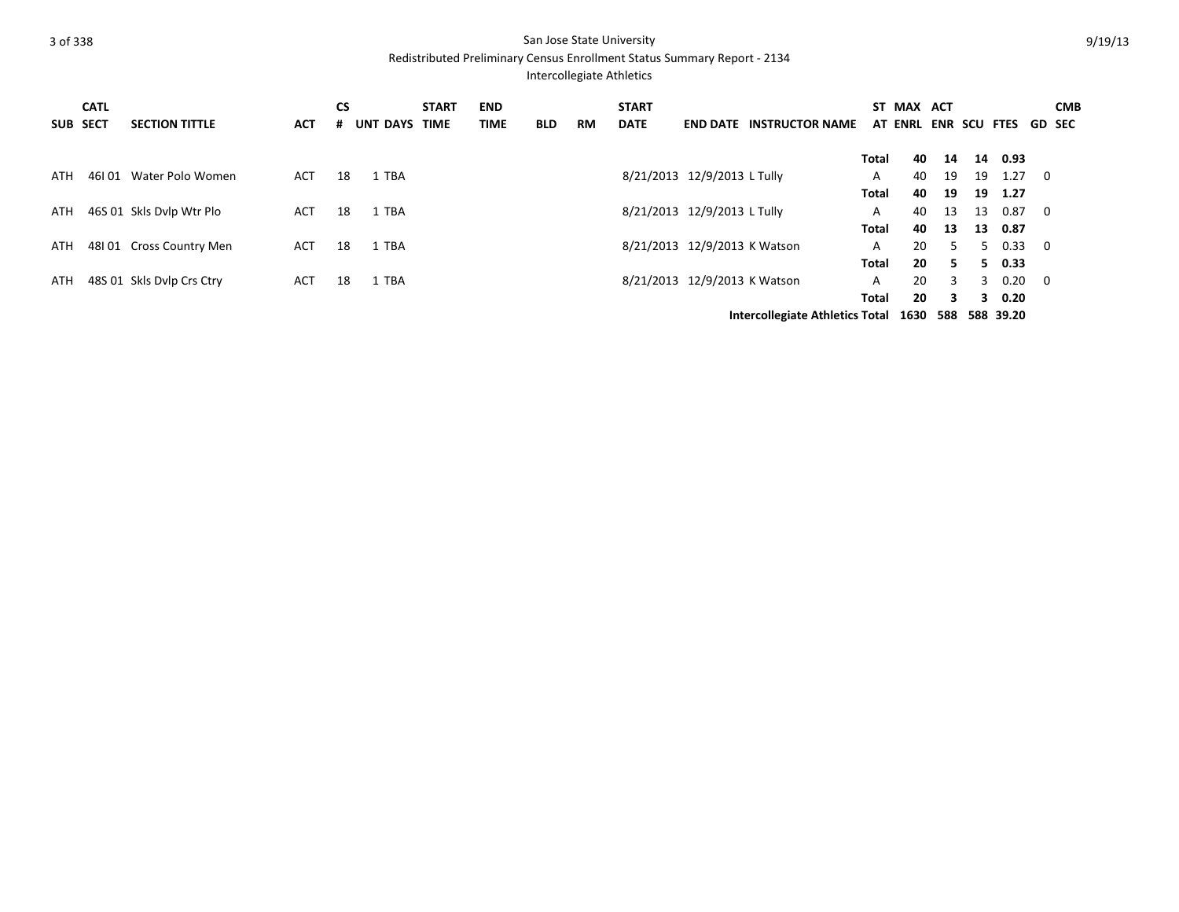|     | <b>CATL</b><br>SUB SECT | <b>SECTION TITTLE</b>     | <b>ACT</b> | <b>CS</b><br># | UNT DAYS TIME | <b>START</b> | <b>END</b><br><b>TIME</b> | <b>BLD</b> | <b>RM</b> | <b>START</b><br><b>DATE</b> | <b>END DATE</b>              | <b>INSTRUCTOR NAME</b>                   |       | ST MAX ACT<br>AT ENRL ENR SCU FTES |    |    |           | GD SEC                  | <b>CMB</b> |
|-----|-------------------------|---------------------------|------------|----------------|---------------|--------------|---------------------------|------------|-----------|-----------------------------|------------------------------|------------------------------------------|-------|------------------------------------|----|----|-----------|-------------------------|------------|
|     |                         |                           |            |                |               |              |                           |            |           |                             |                              |                                          | Total | 40                                 | 14 | 14 | 0.93      |                         |            |
| ATH |                         | 46101 Water Polo Women    | ACT        | 18             | 1 TBA         |              |                           |            |           |                             | 8/21/2013 12/9/2013 L Tully  |                                          | A     | 40                                 | 19 | 19 | 1.27      | $\overline{\mathbf{0}}$ |            |
|     |                         |                           |            |                |               |              |                           |            |           |                             |                              |                                          | Total | 40                                 | 19 | 19 | 1.27      |                         |            |
| ATH |                         | 46S 01 Skls Dvlp Wtr Plo  | ACT        | 18             | 1 TBA         |              |                           |            |           |                             | 8/21/2013 12/9/2013 L Tully  |                                          | A     | 40                                 | 13 | 13 | 0.87      | $\overline{0}$          |            |
|     |                         |                           |            |                |               |              |                           |            |           |                             |                              |                                          | Total | 40                                 | 13 | 13 | 0.87      |                         |            |
| ATH |                         | 48101 Cross Country Men   | <b>ACT</b> | 18             | 1 TBA         |              |                           |            |           |                             | 8/21/2013 12/9/2013 K Watson |                                          | A     | 20                                 | 5. | 5  | $0.33\ 0$ |                         |            |
|     |                         |                           |            |                |               |              |                           |            |           |                             |                              |                                          | Total | 20                                 | 5. | 5. | 0.33      |                         |            |
| ATH |                         | 48S 01 Skls Dylp Crs Ctry | <b>ACT</b> | 18             | 1 TBA         |              |                           |            |           |                             | 8/21/2013 12/9/2013 K Watson |                                          | A     | 20                                 | 3  |    | 0.20      | $\overline{\mathbf{0}}$ |            |
|     |                         |                           |            |                |               |              |                           |            |           |                             |                              |                                          | Total | 20                                 | 3  | 3. | 0.20      |                         |            |
|     |                         |                           |            |                |               |              |                           |            |           |                             |                              | Intercollegiate Athletics Total 1630 588 |       |                                    |    |    | 588 39.20 |                         |            |